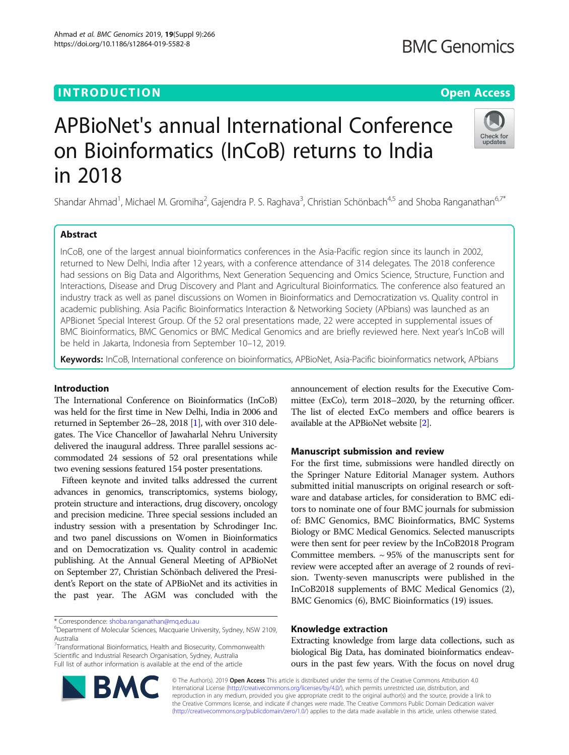# **INTRODUCTION CONSUMING THE OPEN ACCESS**

# APBioNet's annual International Conference on Bioinformatics (InCoB) returns to India in 2018

Shandar Ahmad<sup>1</sup>, Michael M. Gromiha<sup>2</sup>, Gajendra P. S. Raghava<sup>3</sup>, Christian Schönbach<sup>4,5</sup> and Shoba Ranganathan<sup>6,7\*</sup>

# Abstract

InCoB, one of the largest annual bioinformatics conferences in the Asia-Pacific region since its launch in 2002, returned to New Delhi, India after 12 years, with a conference attendance of 314 delegates. The 2018 conference had sessions on Big Data and Algorithms, Next Generation Sequencing and Omics Science, Structure, Function and Interactions, Disease and Drug Discovery and Plant and Agricultural Bioinformatics. The conference also featured an industry track as well as panel discussions on Women in Bioinformatics and Democratization vs. Quality control in academic publishing. Asia Pacific Bioinformatics Interaction & Networking Society (APbians) was launched as an APBionet Special Interest Group. Of the 52 oral presentations made, 22 were accepted in supplemental issues of BMC Bioinformatics, BMC Genomics or BMC Medical Genomics and are briefly reviewed here. Next year's InCoB will be held in Jakarta, Indonesia from September 10–12, 2019.

Keywords: InCoB, International conference on bioinformatics, APBioNet, Asia-Pacific bioinformatics network, APbians

# Introduction

The International Conference on Bioinformatics (InCoB) was held for the first time in New Delhi, India in 2006 and returned in September 26–28, 2018 [\[1](#page-2-0)], with over 310 delegates. The Vice Chancellor of Jawaharlal Nehru University delivered the inaugural address. Three parallel sessions accommodated 24 sessions of 52 oral presentations while two evening sessions featured 154 poster presentations.

Fifteen keynote and invited talks addressed the current advances in genomics, transcriptomics, systems biology, protein structure and interactions, drug discovery, oncology and precision medicine. Three special sessions included an industry session with a presentation by Schrodinger Inc. and two panel discussions on Women in Bioinformatics and on Democratization vs. Quality control in academic publishing. At the Annual General Meeting of APBioNet on September 27, Christian Schönbach delivered the President's Report on the state of APBioNet and its activities in the past year. The AGM was concluded with the

\* Correspondence: [shoba.ranganathan@mq.edu.au](mailto:shoba.ranganathan@mq.edu.au) <sup>6</sup>

<sup>7</sup> Transformational Bioinformatics, Health and Biosecurity, Commonwealth Scientific and Industrial Research Organisation, Sydney, Australia Full list of author information is available at the end of the article

announcement of election results for the Executive Committee (ExCo), term 2018–2020, by the returning officer. The list of elected ExCo members and office bearers is available at the APBioNet website [\[2\]](#page-2-0).

# Manuscript submission and review

For the first time, submissions were handled directly on the Springer Nature Editorial Manager system. Authors submitted initial manuscripts on original research or software and database articles, for consideration to BMC editors to nominate one of four BMC journals for submission of: BMC Genomics, BMC Bioinformatics, BMC Systems Biology or BMC Medical Genomics. Selected manuscripts were then sent for peer review by the InCoB2018 Program Committee members.  $\sim$  95% of the manuscripts sent for review were accepted after an average of 2 rounds of revision. Twenty-seven manuscripts were published in the InCoB2018 supplements of BMC Medical Genomics (2), BMC Genomics (6), BMC Bioinformatics (19) issues.

# Knowledge extraction

Extracting knowledge from large data collections, such as biological Big Data, has dominated bioinformatics endeavours in the past few years. With the focus on novel drug

© The Author(s). 2019 **Open Access** This article is distributed under the terms of the Creative Commons Attribution 4.0 International License [\(http://creativecommons.org/licenses/by/4.0/](http://creativecommons.org/licenses/by/4.0/)), which permits unrestricted use, distribution, and reproduction in any medium, provided you give appropriate credit to the original author(s) and the source, provide a link to the Creative Commons license, and indicate if changes were made. The Creative Commons Public Domain Dedication waiver [\(http://creativecommons.org/publicdomain/zero/1.0/](http://creativecommons.org/publicdomain/zero/1.0/)) applies to the data made available in this article, unless otherwise stated.





# **BMC Genomics**



Department of Molecular Sciences, Macquarie University, Sydney, NSW 2109, Australia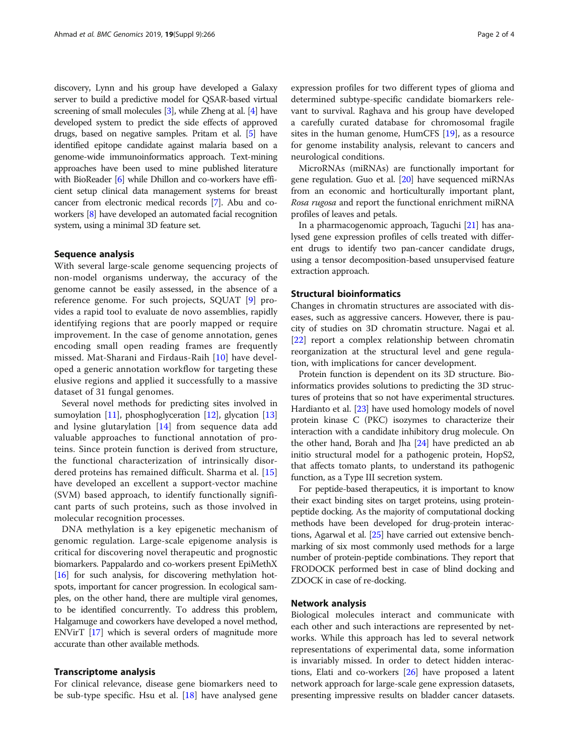discovery, Lynn and his group have developed a Galaxy server to build a predictive model for QSAR-based virtual screening of small molecules [[3](#page-2-0)], while Zheng at al. [\[4\]](#page-2-0) have developed system to predict the side effects of approved drugs, based on negative samples. Pritam et al. [\[5\]](#page-2-0) have identified epitope candidate against malaria based on a genome-wide immunoinformatics approach. Text-mining approaches have been used to mine published literature with BioReader [\[6\]](#page-2-0) while Dhillon and co-workers have efficient setup clinical data management systems for breast cancer from electronic medical records [[7\]](#page-2-0). Abu and coworkers [\[8](#page-2-0)] have developed an automated facial recognition system, using a minimal 3D feature set.

# Sequence analysis

With several large-scale genome sequencing projects of non-model organisms underway, the accuracy of the genome cannot be easily assessed, in the absence of a reference genome. For such projects, SQUAT [\[9](#page-2-0)] provides a rapid tool to evaluate de novo assemblies, rapidly identifying regions that are poorly mapped or require improvement. In the case of genome annotation, genes encoding small open reading frames are frequently missed. Mat-Sharani and Firdaus-Raih [[10](#page-2-0)] have developed a generic annotation workflow for targeting these elusive regions and applied it successfully to a massive dataset of 31 fungal genomes.

Several novel methods for predicting sites involved in sumoylation [[11](#page-2-0)], phosphoglyceration [\[12\]](#page-2-0), glycation [[13](#page-2-0)] and lysine glutarylation [[14](#page-2-0)] from sequence data add valuable approaches to functional annotation of proteins. Since protein function is derived from structure, the functional characterization of intrinsically disordered proteins has remained difficult. Sharma et al. [\[15](#page-2-0)] have developed an excellent a support-vector machine (SVM) based approach, to identify functionally significant parts of such proteins, such as those involved in molecular recognition processes.

DNA methylation is a key epigenetic mechanism of genomic regulation. Large-scale epigenome analysis is critical for discovering novel therapeutic and prognostic biomarkers. Pappalardo and co-workers present EpiMethX [[16](#page-2-0)] for such analysis, for discovering methylation hotspots, important for cancer progression. In ecological samples, on the other hand, there are multiple viral genomes, to be identified concurrently. To address this problem, Halgamuge and coworkers have developed a novel method, ENVirT [[17](#page-2-0)] which is several orders of magnitude more accurate than other available methods.

# Transcriptome analysis

For clinical relevance, disease gene biomarkers need to be sub-type specific. Hsu et al. [[18\]](#page-2-0) have analysed gene expression profiles for two different types of glioma and determined subtype-specific candidate biomarkers relevant to survival. Raghava and his group have developed a carefully curated database for chromosomal fragile sites in the human genome, HumCFS [\[19](#page-3-0)], as a resource for genome instability analysis, relevant to cancers and neurological conditions.

MicroRNAs (miRNAs) are functionally important for gene regulation. Guo et al. [[20](#page-3-0)] have sequenced miRNAs from an economic and horticulturally important plant, Rosa rugosa and report the functional enrichment miRNA profiles of leaves and petals.

In a pharmacogenomic approach, Taguchi [[21](#page-3-0)] has analysed gene expression profiles of cells treated with different drugs to identify two pan-cancer candidate drugs, using a tensor decomposition-based unsupervised feature extraction approach.

## Structural bioinformatics

Changes in chromatin structures are associated with diseases, such as aggressive cancers. However, there is paucity of studies on 3D chromatin structure. Nagai et al. [[22\]](#page-3-0) report a complex relationship between chromatin reorganization at the structural level and gene regulation, with implications for cancer development.

Protein function is dependent on its 3D structure. Bioinformatics provides solutions to predicting the 3D structures of proteins that so not have experimental structures. Hardianto et al. [[23](#page-3-0)] have used homology models of novel protein kinase C (PKC) isozymes to characterize their interaction with a candidate inhibitory drug molecule. On the other hand, Borah and Jha [[24](#page-3-0)] have predicted an ab initio structural model for a pathogenic protein, HopS2, that affects tomato plants, to understand its pathogenic function, as a Type III secretion system.

For peptide-based therapeutics, it is important to know their exact binding sites on target proteins, using proteinpeptide docking. As the majority of computational docking methods have been developed for drug-protein interactions, Agarwal et al. [\[25\]](#page-3-0) have carried out extensive benchmarking of six most commonly used methods for a large number of protein-peptide combinations. They report that FRODOCK performed best in case of blind docking and ZDOCK in case of re-docking.

# Network analysis

Biological molecules interact and communicate with each other and such interactions are represented by networks. While this approach has led to several network representations of experimental data, some information is invariably missed. In order to detect hidden interactions, Elati and co-workers [\[26\]](#page-3-0) have proposed a latent network approach for large-scale gene expression datasets, presenting impressive results on bladder cancer datasets.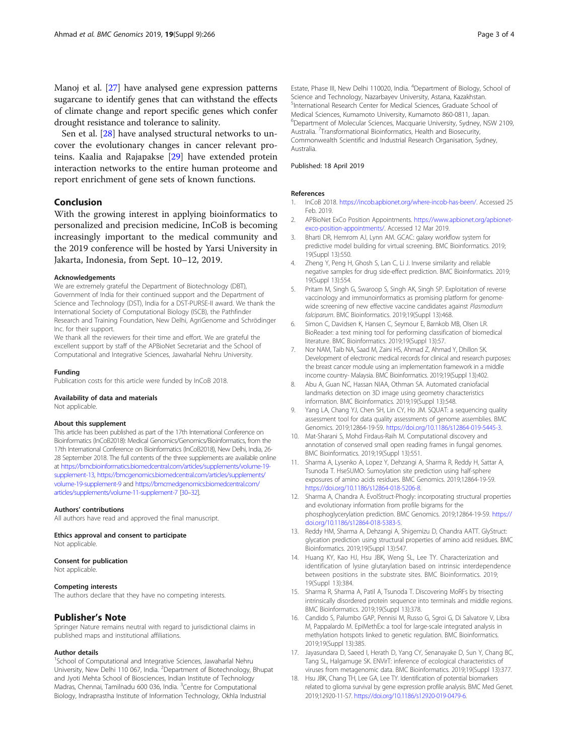<span id="page-2-0"></span>Manoj et al. [\[27](#page-3-0)] have analysed gene expression patterns sugarcane to identify genes that can withstand the effects of climate change and report specific genes which confer drought resistance and tolerance to salinity.

Sen et al. [[28\]](#page-3-0) have analysed structural networks to uncover the evolutionary changes in cancer relevant proteins. Kaalia and Rajapakse [\[29\]](#page-3-0) have extended protein interaction networks to the entire human proteome and report enrichment of gene sets of known functions.

# Conclusion

With the growing interest in applying bioinformatics to personalized and precision medicine, InCoB is becoming increasingly important to the medical community and the 2019 conference will be hosted by Yarsi University in Jakarta, Indonesia, from Sept. 10–12, 2019.

#### Acknowledgements

We are extremely grateful the Department of Biotechnology (DBT), Government of India for their continued support and the Department of Science and Technology (DST), India for a DST-PURSE-II award. We thank the International Society of Computational Biology (ISCB), the Pathfinder Research and Training Foundation, New Delhi, AgriGenome and Schrödinger Inc. for their support.

We thank all the reviewers for their time and effort. We are grateful the excellent support by staff of the APBioNet Secretariat and the School of Computational and Integrative Sciences, Jawaharlal Nehru University.

#### Funding

Publication costs for this article were funded by InCoB 2018.

# Availability of data and materials

Not applicable.

#### About this supplement

This article has been published as part of the 17th International Conference on Bioinformatics (InCoB2018): Medical Genomics/Genomics/Bioinformatics, from the 17th International Conference on Bioinformatics (InCoB2018), New Delhi, India, 26- 28 September 2018. The full contents of the three supplements are available online at [https://bmcbioinformatics.biomedcentral.com/articles/supplements/volume-19](https://bmcbioinformatics.biomedcentral.com/articles/supplements/volume-19-supplement-13) [supplement-13,](https://bmcbioinformatics.biomedcentral.com/articles/supplements/volume-19-supplement-13) [https://bmcgenomics.biomedcentral.com/articles/supplements/](https://bmcgenomics.biomedcentral.com/articles/supplements/volume-19-supplement-9) [volume-19-supplement-9](https://bmcgenomics.biomedcentral.com/articles/supplements/volume-19-supplement-9) and [https://bmcmedgenomics.biomedcentral.com/](https://bmcmedgenomics.biomedcentral.com/articles/supplements/volume-11-supplement-7) [articles/supplements/volume-11-supplement-7](https://bmcmedgenomics.biomedcentral.com/articles/supplements/volume-11-supplement-7) [\[30](#page-3-0)–[32\]](#page-3-0).

#### Authors' contributions

All authors have read and approved the final manuscript.

Ethics approval and consent to participate Not applicable.

# Consent for publication

Not applicable.

# Competing interests

The authors declare that they have no competing interests.

### Publisher's Note

Springer Nature remains neutral with regard to jurisdictional claims in published maps and institutional affiliations.

#### Author details

<sup>1</sup>School of Computational and Integrative Sciences, Jawaharlal Nehru University, New Delhi 110 067, India. <sup>2</sup>Department of Biotechnology, Bhupat and Jyoti Mehta School of Biosciences, Indian Institute of Technology Madras, Chennai, Tamilnadu 600 036, India. <sup>3</sup>Centre for Computational Biology, Indraprastha Institute of Information Technology, Okhla Industrial

Estate, Phase III, New Delhi 110020, India. <sup>4</sup>Department of Biology, School of Science and Technology, Nazarbayev University, Astana, Kazakhstan. 5 International Research Center for Medical Sciences, Graduate School of Medical Sciences, Kumamoto University, Kumamoto 860-0811, Japan. 6 Department of Molecular Sciences, Macquarie University, Sydney, NSW 2109, Australia. <sup>7</sup>Transformational Bioinformatics, Health and Biosecurity Commonwealth Scientific and Industrial Research Organisation, Sydney, Australia.

## Published: 18 April 2019

#### References

- 1. InCoB 2018. [https://incob.apbionet.org/where-incob-has-been/.](https://www.incob.apbionet.org/where-incob-has-been/) Accessed 25 Feb. 2019.
- 2. APBioNet ExCo Position Appointments. [https://www.apbionet.org/apbionet](https://www.apbionet.org/apbionet-exco-position-appointments/)[exco-position-appointments/](https://www.apbionet.org/apbionet-exco-position-appointments/). Accessed 12 Mar 2019.
- 3. Bharti DR, Hemrom AJ, Lynn AM. GCAC: galaxy workflow system for predictive model building for virtual screening. BMC Bioinformatics. 2019; 19(Suppl 13):550.
- 4. Zheng Y, Peng H, Ghosh S, Lan C, Li J. Inverse similarity and reliable negative samples for drug side-effect prediction. BMC Bioinformatics. 2019; 19(Suppl 13):554.
- 5. Pritam M, Singh G, Swaroop S, Singh AK, Singh SP. Exploitation of reverse vaccinology and immunoinformatics as promising platform for genomewide screening of new effective vaccine candidates against Plasmodium falciparum. BMC Bioinformatics. 2019;19(Suppl 13):468.
- 6. Simon C, Davidsen K, Hansen C, Seymour E, Barnkob MB, Olsen LR. BioReader: a text mining tool for performing classification of biomedical literature. BMC Bioinformatics. 2019;19(Suppl 13):57.
- 7. Nor NAM, Taib NA, Saad M, Zaini HS, Ahmad Z, Ahmad Y, Dhillon SK. Development of electronic medical records for clinical and research purposes: the breast cancer module using an implementation framework in a middle income country- Malaysia. BMC Bioinformatics. 2019;19(Suppl 13):402.
- 8. Abu A, Guan NC, Hassan NIAA, Othman SA. Automated craniofacial landmarks detection on 3D image using geometry characteristics information. BMC Bioinformatics. 2019;19(Suppl 13):548.
- 9. Yang LA, Chang YJ, Chen SH, Lin CY, Ho JM. SQUAT: a sequencing quality assessment tool for data quality assessments of genome assemblies. BMC Genomics. 2019;12864-19-S9. [https://doi.org/10.1186/s12864-019-5445-3.](https://doi.org/10.1186/s12864-019-5445-3)
- 10. Mat-Sharani S, Mohd Firdaus-Raih M. Computational discovery and annotation of conserved small open reading frames in fungal genomes. BMC Bioinformatics. 2019;19(Suppl 13):551.
- 11. Sharma A, Lysenko A, Lopez Y, Dehzangi A, Sharma R, Reddy H, Sattar A, Tsunoda T. HseSUMO: Sumoylation site prediction using half-sphere exposures of amino acids residues. BMC Genomics. 2019;12864-19-S9. <https://doi.org/10.1186/s12864-018-5206-8>.
- 12. Sharma A, Chandra A. EvolStruct-Phogly: incorporating structural properties and evolutionary information from profile bigrams for the phosphoglycerylation prediction. BMC Genomics. 2019;12864-19-S9. [https://](https://doi.org/10.1186/s12864-018-5383-5) [doi.org/10.1186/s12864-018-5383-5.](https://doi.org/10.1186/s12864-018-5383-5)
- 13. Reddy HM, Sharma A, Dehzangi A, Shigemizu D, Chandra AATT. GlyStruct: glycation prediction using structural properties of amino acid residues. BMC Bioinformatics. 2019;19(Suppl 13):547.
- 14. Huang KY, Kao HJ, Hsu JBK, Weng SL, Lee TY. Characterization and identification of lysine glutarylation based on intrinsic interdependence between positions in the substrate sites. BMC Bioinformatics. 2019; 19(Suppl 13):384.
- 15. Sharma R, Sharma A, Patil A, Tsunoda T. Discovering MoRFs by trisecting intrinsically disordered protein sequence into terminals and middle regions. BMC Bioinformatics. 2019;19(Suppl 13):378.
- 16. Candido S, Palumbo GAP, Pennisi M, Russo G, Sgroi G, Di Salvatore V, Libra M, Pappalardo M. EpiMethEx: a tool for large-scale integrated analysis in methylation hotspots linked to genetic regulation. BMC Bioinformatics. 2019;19(Suppl 13):385.
- 17. Jayasundara D, Saeed I, Herath D, Yang CY, Senanayake D, Sun Y, Chang BC, Tang SL, Halgamuge SK. ENVirT: inference of ecological characteristics of viruses from metagenomic data. BMC Bioinformatics. 2019;19(Suppl 13):377.
- 18. Hsu JBK, Chang TH, Lee GA, Lee TY. Identification of potential biomarkers related to glioma survival by gene expression profile analysis. BMC Med Genet. 2019;12920-11-S7. [https://doi.org/10.1186/s12920-019-0479-6.](https://doi.org/10.1186/s12920-019-0479-6)